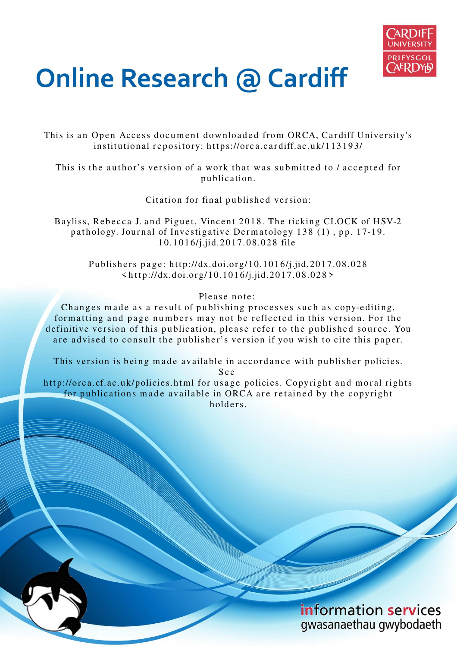

## **Online Research @ Cardiff**

This is an Open Access document downloaded from ORCA, Cardiff University's institutional repository: https://orca.cardiff.ac.uk/113193/

This is the author's version of a work that was submitted to / accepted for p u blication.

Citation for final published version:

Bayliss, Rebecca J. and Piguet, Vincent 2018. The ticking CLOCK of HSV-2 pathology. Journal of Investigative Dermatology 138 (1), pp. 17-19. 1 0.1 0 1 6/j.jid.201 7.08.02 8 file

> Publishers page: http://dx.doi.org/10.1016/j.jid.2017.08.028  $\langle \text{http://dx.doi.org/10.1016/j.jid.2017.08.028>}$

> > Please note:

Changes made as a result of publishing processes such as copy-editing, formatting and page numbers may not be reflected in this version. For the definitive version of this publication, please refer to the published source. You are advised to consult the publisher's version if you wish to cite this paper.

This version is being made available in accordance with publisher policies.

S e e

http://orca.cf.ac.uk/policies.html for usage policies. Copyright and moral rights for publications made available in ORCA are retained by the copyright holders.

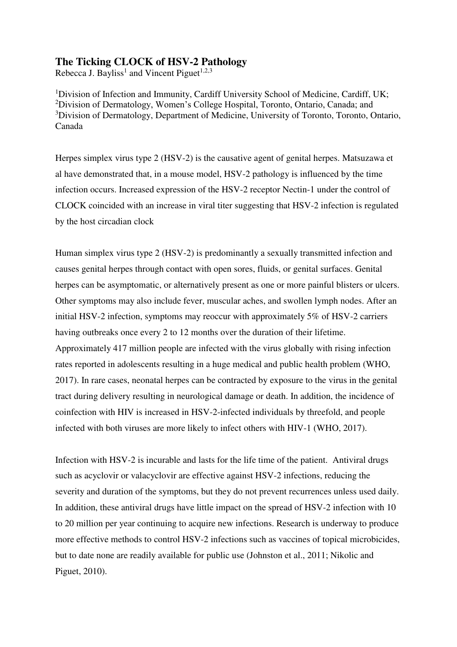## **The Ticking CLOCK of HSV-2 Pathology**

Rebecca J. Bayliss<sup>1</sup> and Vincent Piguet<sup>1,2,3</sup>

<sup>1</sup>Division of Infection and Immunity, Cardiff University School of Medicine, Cardiff, UK; <sup>2</sup>Division of Dermatology, Women's College Hospital, Toronto, Ontario, Canada; and <sup>3</sup>Division of Dermatology, Department of Medicine, University of Toronto, Toronto, Ontario, Canada

Herpes simplex virus type 2 (HSV-2) is the causative agent of genital herpes. Matsuzawa et al have demonstrated that, in a mouse model, HSV-2 pathology is influenced by the time infection occurs. Increased expression of the HSV-2 receptor Nectin-1 under the control of CLOCK coincided with an increase in viral titer suggesting that HSV-2 infection is regulated by the host circadian clock

Human simplex virus type 2 (HSV-2) is predominantly a sexually transmitted infection and causes genital herpes through contact with open sores, fluids, or genital surfaces. Genital herpes can be asymptomatic, or alternatively present as one or more painful blisters or ulcers. Other symptoms may also include fever, muscular aches, and swollen lymph nodes. After an initial HSV-2 infection, symptoms may reoccur with approximately 5% of HSV-2 carriers having outbreaks once every 2 to 12 months over the duration of their lifetime. Approximately 417 million people are infected with the virus globally with rising infection rates reported in adolescents resulting in a huge medical and public health problem (WHO, 2017). In rare cases, neonatal herpes can be contracted by exposure to the virus in the genital tract during delivery resulting in neurological damage or death. In addition, the incidence of coinfection with HIV is increased in HSV-2-infected individuals by threefold, and people infected with both viruses are more likely to infect others with HIV-1 (WHO, 2017).

Infection with HSV-2 is incurable and lasts for the life time of the patient. Antiviral drugs such as acyclovir or valacyclovir are effective against HSV-2 infections, reducing the severity and duration of the symptoms, but they do not prevent recurrences unless used daily. In addition, these antiviral drugs have little impact on the spread of HSV-2 infection with 10 to 20 million per year continuing to acquire new infections. Research is underway to produce more effective methods to control HSV-2 infections such as vaccines of topical microbicides, but to date none are readily available for public use (Johnston et al., 2011; Nikolic and Piguet, 2010).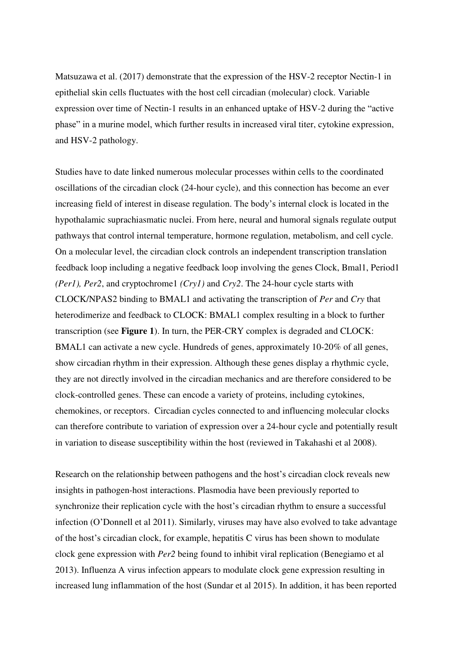Matsuzawa et al. (2017) demonstrate that the expression of the HSV-2 receptor Nectin-1 in epithelial skin cells fluctuates with the host cell circadian (molecular) clock. Variable expression over time of Nectin-1 results in an enhanced uptake of HSV-2 during the "active phase" in a murine model, which further results in increased viral titer, cytokine expression, and HSV-2 pathology.

Studies have to date linked numerous molecular processes within cells to the coordinated oscillations of the circadian clock (24-hour cycle), and this connection has become an ever increasing field of interest in disease regulation. The body's internal clock is located in the hypothalamic suprachiasmatic nuclei. From here, neural and humoral signals regulate output pathways that control internal temperature, hormone regulation, metabolism, and cell cycle. On a molecular level, the circadian clock controls an independent transcription translation feedback loop including a negative feedback loop involving the genes Clock, Bmal1, Period1 *(Per1), Per2*, and cryptochrome1 *(Cry1)* and *Cry2*. The 24-hour cycle starts with CLOCK/NPAS2 binding to BMAL1 and activating the transcription of *Per* and *Cry* that heterodimerize and feedback to CLOCK: BMAL1 complex resulting in a block to further transcription (see **Figure 1**). In turn, the PER-CRY complex is degraded and CLOCK: BMAL1 can activate a new cycle. Hundreds of genes, approximately 10-20% of all genes, show circadian rhythm in their expression. Although these genes display a rhythmic cycle, they are not directly involved in the circadian mechanics and are therefore considered to be clock-controlled genes. These can encode a variety of proteins, including cytokines, chemokines, or receptors. Circadian cycles connected to and influencing molecular clocks can therefore contribute to variation of expression over a 24-hour cycle and potentially result in variation to disease susceptibility within the host (reviewed in Takahashi et al 2008).

Research on the relationship between pathogens and the host's circadian clock reveals new insights in pathogen-host interactions. Plasmodia have been previously reported to synchronize their replication cycle with the host's circadian rhythm to ensure a successful infection (O'Donnell et al 2011). Similarly, viruses may have also evolved to take advantage of the host's circadian clock, for example, hepatitis C virus has been shown to modulate clock gene expression with *Per2* being found to inhibit viral replication (Benegiamo et al 2013). Influenza A virus infection appears to modulate clock gene expression resulting in increased lung inflammation of the host (Sundar et al 2015). In addition, it has been reported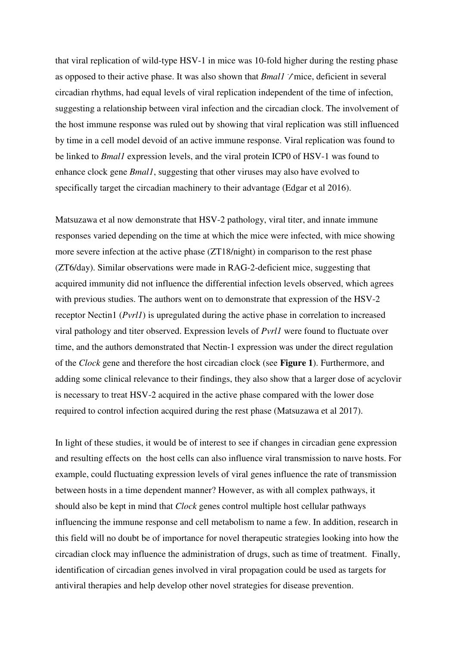that viral replication of wild-type HSV-1 in mice was 10-fold higher during the resting phase as opposed to their active phase. It was also shown that *Bmal1*  $\neq$  mice, deficient in several circadian rhythms, had equal levels of viral replication independent of the time of infection, suggesting a relationship between viral infection and the circadian clock. The involvement of the host immune response was ruled out by showing that viral replication was still influenced by time in a cell model devoid of an active immune response. Viral replication was found to be linked to *Bmal1* expression levels, and the viral protein ICP0 of HSV-1 was found to enhance clock gene *Bmal1*, suggesting that other viruses may also have evolved to specifically target the circadian machinery to their advantage (Edgar et al 2016).

Matsuzawa et al now demonstrate that HSV-2 pathology, viral titer, and innate immune responses varied depending on the time at which the mice were infected, with mice showing more severe infection at the active phase (ZT18/night) in comparison to the rest phase (ZT6/day). Similar observations were made in RAG-2-deficient mice, suggesting that acquired immunity did not influence the differential infection levels observed, which agrees with previous studies. The authors went on to demonstrate that expression of the HSV-2 receptor Nectin1 (*Pvrl1*) is upregulated during the active phase in correlation to increased viral pathology and titer observed. Expression levels of *Pvrl1* were found to fluctuate over time, and the authors demonstrated that Nectin-1 expression was under the direct regulation of the *Clock* gene and therefore the host circadian clock (see **Figure 1**). Furthermore, and adding some clinical relevance to their findings, they also show that a larger dose of acyclovir is necessary to treat HSV-2 acquired in the active phase compared with the lower dose required to control infection acquired during the rest phase (Matsuzawa et al 2017).

In light of these studies, it would be of interest to see if changes in circadian gene expression and resulting effects on the host cells can also influence viral transmission to naıve hosts. For example, could fluctuating expression levels of viral genes influence the rate of transmission between hosts in a time dependent manner? However, as with all complex pathways, it should also be kept in mind that *Clock* genes control multiple host cellular pathways influencing the immune response and cell metabolism to name a few. In addition, research in this field will no doubt be of importance for novel therapeutic strategies looking into how the circadian clock may influence the administration of drugs, such as time of treatment. Finally, identification of circadian genes involved in viral propagation could be used as targets for antiviral therapies and help develop other novel strategies for disease prevention.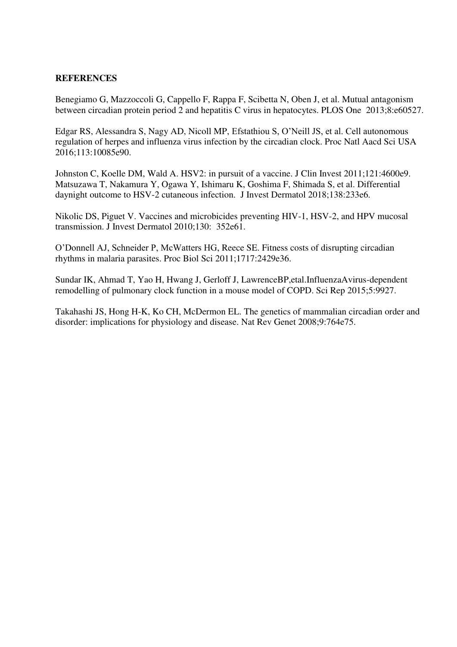## **REFERENCES**

Benegiamo G, Mazzoccoli G, Cappello F, Rappa F, Scibetta N, Oben J, et al. Mutual antagonism between circadian protein period 2 and hepatitis C virus in hepatocytes. PLOS One 2013;8:e60527.

Edgar RS, Alessandra S, Nagy AD, Nicoll MP, Efstathiou S, O'Neill JS, et al. Cell autonomous regulation of herpes and influenza virus infection by the circadian clock. Proc Natl Aacd Sci USA 2016;113:10085e90.

Johnston C, Koelle DM, Wald A. HSV2: in pursuit of a vaccine. J Clin Invest 2011;121:4600e9. Matsuzawa T, Nakamura Y, Ogawa Y, Ishimaru K, Goshima F, Shimada S, et al. Differential daynight outcome to HSV-2 cutaneous infection. J Invest Dermatol 2018;138:233e6.

Nikolic DS, Piguet V. Vaccines and microbicides preventing HIV-1, HSV-2, and HPV mucosal transmission. J Invest Dermatol 2010;130: 352e61.

O'Donnell AJ, Schneider P, McWatters HG, Reece SE. Fitness costs of disrupting circadian rhythms in malaria parasites. Proc Biol Sci 2011;1717:2429e36.

Sundar IK, Ahmad T, Yao H, Hwang J, Gerloff J, LawrenceBP,etal.InfluenzaAvirus-dependent remodelling of pulmonary clock function in a mouse model of COPD. Sci Rep 2015;5:9927.

Takahashi JS, Hong H-K, Ko CH, McDermon EL. The genetics of mammalian circadian order and disorder: implications for physiology and disease. Nat Rev Genet 2008;9:764e75.